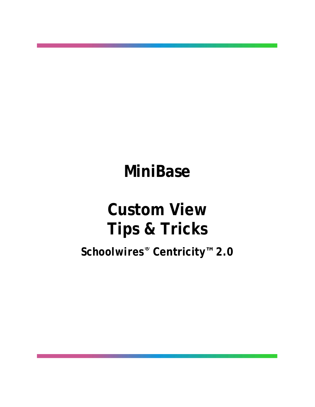# **MiniBase**

# **Custom View Tips & Tricks**

*Schoolwires®* **Centricity™ 2.0**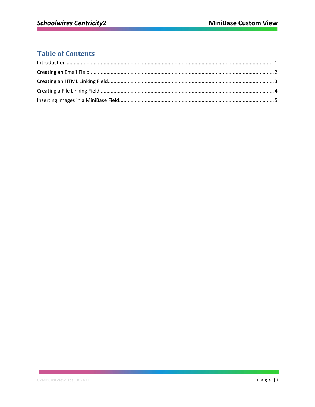## **Table of Contents**

<u>and the state of the state</u>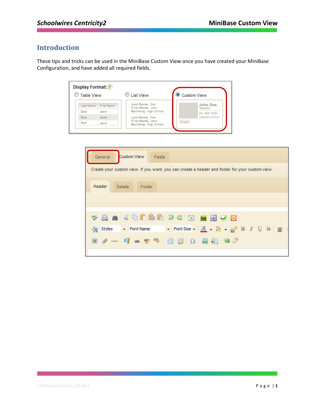### <span id="page-2-0"></span>**Introduction**

These tips and tricks can be used in the MiniBase Custom View once you have created your MiniBase Configuration, and have added all required fields.

| C Table View |            | <b>List View</b>                                            | <b>Custom View</b>  |
|--------------|------------|-------------------------------------------------------------|---------------------|
| Last Name    | First Name | Last Name: Doe<br>First Name: John                          | John Doe<br>Teacher |
| Doe          | John       | Building: High School                                       | ph: 444 1234        |
| Doe          | Jane       | Last Name: Doe<br>First Name: Jane<br>Building: High School | Lakepark School     |
| Doe          | Jack       |                                                             | Email               |

| General | <b>Custom View</b><br>Fields                                                                     |
|---------|--------------------------------------------------------------------------------------------------|
|         | Create your custom view. If you want, you can create a header and footer for your custom view.   |
| Header  | <b>Details</b><br>Footer                                                                         |
|         |                                                                                                  |
|         |                                                                                                  |
|         | <b>TO MANUBED OF A STAR</b>                                                                      |
| Styles  | • Font Size • <u>A</u> H & B I U & E<br>Font Name                                                |
|         | $\blacksquare \bullet \circ \circ \circ \blacksquare \boxdot \Omega \blacksquare \boxdot \Delta$ |
|         |                                                                                                  |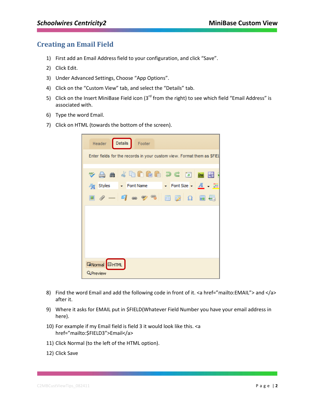#### <span id="page-3-0"></span>**Creating an Email Field**

- 1) First add an Email Address field to your configuration, and click "Save".
- 2) Click Edit.
- 3) Under Advanced Settings, Choose "App Options".
- 4) Click on the "Custom View" tab, and select the "Details" tab.
- 5) Click on the Insert MiniBase Field icon ( $3^{rd}$  from the right) to see which field "Email Address" is associated with.
- 6) Type the word Email.
- 7) Click on HTML (towards the bottom of the screen).

| Details<br>Header<br>Footer                                                                                   |
|---------------------------------------------------------------------------------------------------------------|
| Enter fields for the records in your custom view. Format them as \$FIEL                                       |
| $\mathbf v$ a m $\mathbf v$ b c c c $\mathbf w$ $\mathbf w$                                                   |
| <b>A</b> Styles $\rightarrow$ Font Name $\rightarrow$ Font Size $\rightarrow$ <b>A</b> $\rightarrow$ <b>H</b> |
| $28 - 9$ a 9 %<br>■ 函 Ω 圖                                                                                     |
|                                                                                                               |
|                                                                                                               |
|                                                                                                               |
|                                                                                                               |
| <b>GNormal</b> OHTML                                                                                          |
| <b>Q</b> Preview                                                                                              |

- 8) Find the word Email and add the following code in front of it. <a href="mailto:EMAIL"> and </a> after it.
- 9) Where it asks for EMAIL put in \$FIELD(Whatever Field Number you have your email address in here).
- 10) For example if my Email field is field 3 it would look like this. <a href="mailto:\$FIELD3">Email</a>
- 11) Click Normal (to the left of the HTML option).
- 12) Click Save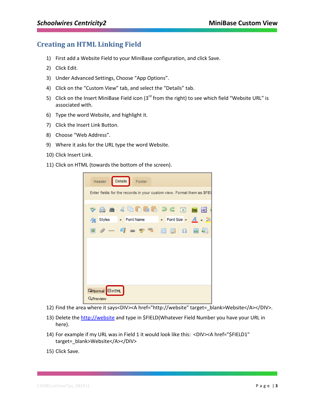#### <span id="page-4-0"></span>**Creating an HTML Linking Field**

- 1) First add a Website Field to your MiniBase configuration, and click Save.
- 2) Click Edit.
- 3) Under Advanced Settings, Choose "App Options".
- 4) Click on the "Custom View" tab, and select the "Details" tab.
- 5) Click on the Insert MiniBase Field icon (3<sup>rd</sup> from the right) to see which field "Website URL" is associated with.
- 6) Type the word Website, and highlight it.
- 7) Click the Insert Link Button.
- 8) Choose "Web Address".
- 9) Where it asks for the URL type the word Website.
- 10) Click Insert Link.
- 11) Click on HTML (towards the bottom of the screen).

| Details<br>Header<br>Footer                                               |
|---------------------------------------------------------------------------|
| Enter fields for the records in your custom view. Format them as \$FIEL   |
| va m (b d d d d d d <u>d m q</u>                                          |
| <b>A</b> Styles - Font Name - Font Size - $\overline{A}$ - $\overline{B}$ |
| $\Box$ / - 4 - 7 - 7 - 1 - $\Box$ $\Box$ $\Box$ $\Box$                    |
|                                                                           |
|                                                                           |
|                                                                           |
|                                                                           |
|                                                                           |
| <b>E</b> Mormal <b>E</b> HTML<br>QPreview                                 |

- 12) Find the area where it says<DIV><A href="http://website" target=\_blank>Website</A></DIV>.
- 13) Delete the [http://website](http://website/) and type in \$FIELD(Whatever Field Number you have your URL in here).
- 14) For example if my URL was in Field 1 it would look like this: <DIV><A href="\$FIELD1" target=\_blank>Website</A></DIV>
- 15) Click Save.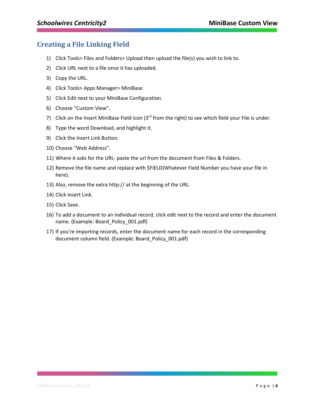### <span id="page-5-0"></span>**Creating a File Linking Field**

- 1) Click Tools> Files and Folders> Upload then upload the file(s) you wish to link to.
- 2) Click URL next to a file once it has uploaded.
- 3) Copy the URL.
- 4) Click Tools> Apps Manager> MiniBase.
- 5) Click Edit next to your MiniBase Configuration.
- 6) Choose "Custom View".
- 7) Click on the Insert MiniBase Field icon ( $3<sup>rd</sup>$  from the right) to see which field your File is under.
- 8) Type the word Download, and highlight it.
- 9) Click the Insert Link Button.
- 10) Choose "Web Address".
- 11) Where it asks for the URL- paste the url from the document from Files & Folders.
- 12) Remove the file name and replace with \$FIELD(Whatever Field Number you have your file in here).
- 13) Also, remove the extra http:// at the beginning of the URL.
- 14) Click Insert Link.
- 15) Click Save.
- 16) To add a document to an individual record, click edit next to the record and enter the document name. (Example: Board\_Policy\_001.pdf)
- 17) If you're importing records, enter the document name for each record in the corresponding document column field. (Example: Board\_Policy\_001.pdf)